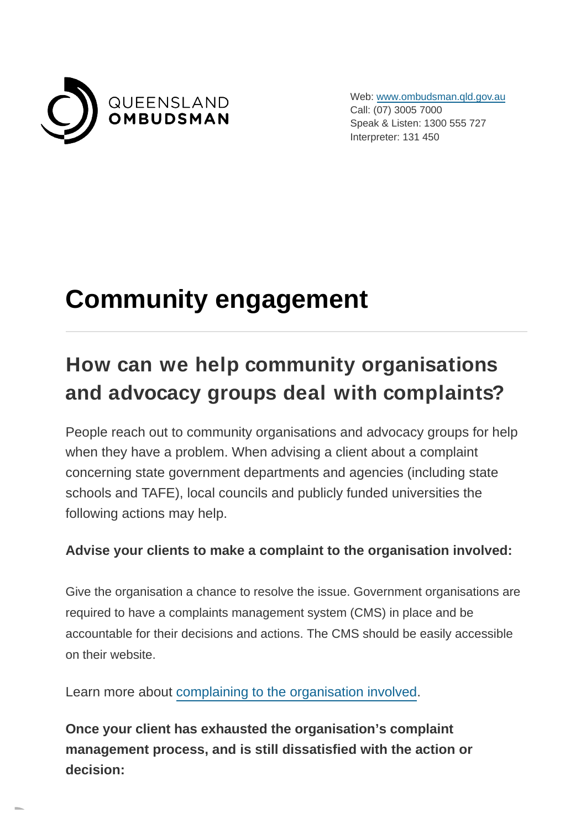

Web: [www.ombudsman.qld.gov.au](https://www.ombudsman.qld.gov.au/) Call: (07) 3005 7000 Speak & Listen: 1300 555 727 Interpreter: 131 450

# **Community engagement**

## **How can we help community organisations and advocacy groups deal with complaints?**

People reach out to community organisations and advocacy groups for help when they have a problem. When advising a client about a complaint concerning state government departments and agencies (including state schools and TAFE), local councils and publicly funded universities the following actions may help.

#### **Advise your clients to make a complaint to the organisation involved:**

Give the organisation a chance to resolve the issue. Government organisations are required to have a complaints management system (CMS) in place and be accountable for their decisions and actions. The CMS should be easily accessible on their website.

Learn more about [complaining to the organisation involved.](https://www.ombudsman.qld.gov.au/how-to-complain/complaints-process/complaining-to-the-agency-involved/complaining-to-the-agency-involved)

**Once your client has exhausted the organisation's complaint management process, and is still dissatisfied with the action or decision:**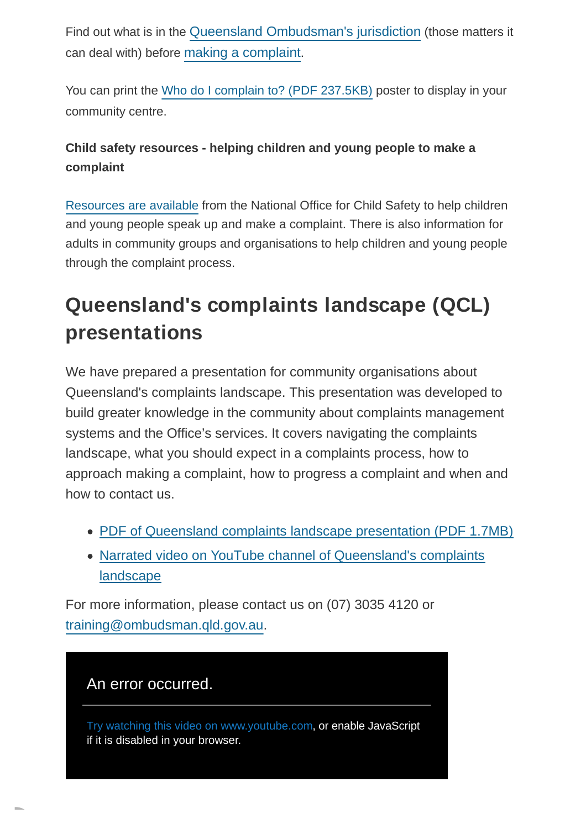Find out what is in the [Queensland Ombudsman's jurisdiction](https://www.ombudsman.qld.gov.au/how-to-complain/what-we-can-help-with/what-we-can-help-with) (those matters it can deal with) before [making a complaint](https://www.ombudsman.qld.gov.au/how-to-complain/how-to-complain).

You can print the [Who do I complain to? \(PDF](https://www.ombudsman.qld.gov.au/ArticleDocuments/283/Who%20do%20I%20complain%20to%20-%20A4%20PUBLIC.PDF.aspx) 237.5KB) poster to display in your community centre.

### **Child safety resources - helping children and young people to make a complaint**

[Resources are available](https://www.ombudsman.qld.gov.au/how-to-complain/complaints-process/common-complaints/child-safety#helping_children) from the National Office for Child Safety to help children and young people speak up and make a complaint. There is also information for adults in community groups and organisations to help children and young people through the complaint process.

### **Queensland's complaints landscape (QCL) presentations**

We have prepared a presentation for community organisations about Queensland's complaints landscape. This presentation was developed to build greater knowledge in the community about complaints management systems and the Office's services. It covers navigating the complaints landscape, what you should expect in a complaints process, how to approach making a complaint, how to progress a complaint and when and how to contact us.

- [PDF of Queensland complaints landscape presentation \(PDF](https://www.ombudsman.qld.gov.au/ArticleDocuments/283/Queensland_Complaints_Landscape_presentation%2016-9%20FINAL.pdf.aspx) 1.7MB)
- [Narrated video on YouTube channel of Queensland's complaints](https://youtu.be/iMO-qmcath8) landscape

For more information, please contact us on (07) 3035 4120 or [training@ombudsman.qld.gov.au.](mailto:training@ombudsman.qld.gov.au)

### An error occurred.

Try watching this video on www.youtube.com, or enable JavaScript if it is disabled in your browser.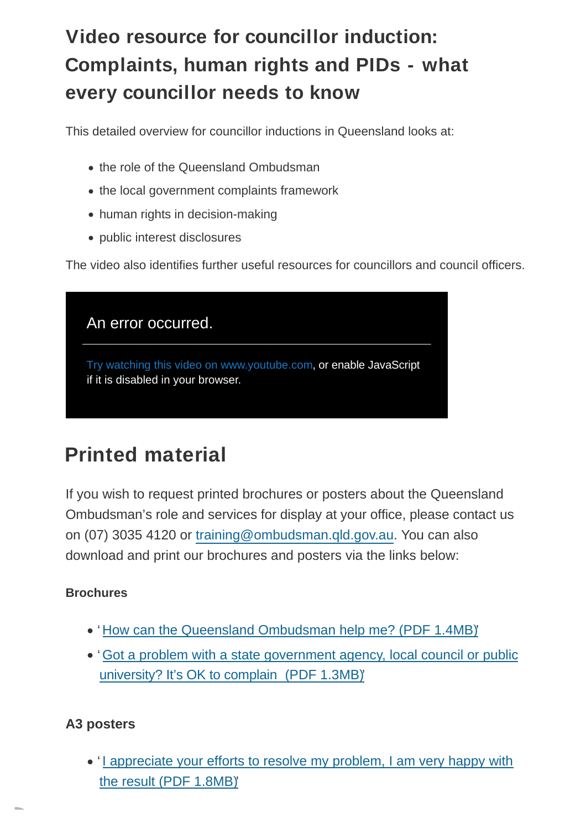### **Video resource for councillor induction: Complaints, human rights and PIDs - what every councillor needs to know**

This detailed overview for councillor inductions in Queensland looks at:

- the role of the Queensland Ombudsman
- the local government complaints framework
- human rights in decision-making
- public interest disclosures

The video also identifies further useful resources for councillors and council officers.

| An error occurred.                                                                                     |
|--------------------------------------------------------------------------------------------------------|
| Try watching this video on www.youtube.com, or enable JavaScript<br>if it is disabled in your browser. |

### **Printed material**

If you wish to request printed brochures or posters about the Queensland Ombudsman's role and services for display at your office, please contact us on (07) 3035 4120 or [training@ombudsman.qld.gov.au.](mailto:training@ombudsman.qld.gov.au) You can also download and print our brochures and posters via the links below:

#### **Brochures**

- ' [How can the Queensland Ombudsman help me? \(PDF](https://www.ombudsman.qld.gov.au/ArticleDocuments/283/DL%20brochure%20-%20how%20can%20the%20Queensland%20Ombudsman%20help%20me.pdf.aspx) 1.4MB)'
- '[Got a problem with a state government agency, local council or public](https://www.ombudsman.qld.gov.au/ArticleDocuments/283/DL%20flyer%20-%20Its%20OK%20to%20complain.PDF.aspx) university? It's OK to complain (PDF 1.3MB)'

#### **A3 posters**

• [I appreciate your efforts to resolve my problem, I am very happy with](https://www.ombudsman.qld.gov.au/ArticleDocuments/283/QO%20Poster%20A3%20-%20I%20appreciate%20your%20efforts%20to%20resolve%20my%20problem.pdf.aspx) the result (PDF 1.8MB)'